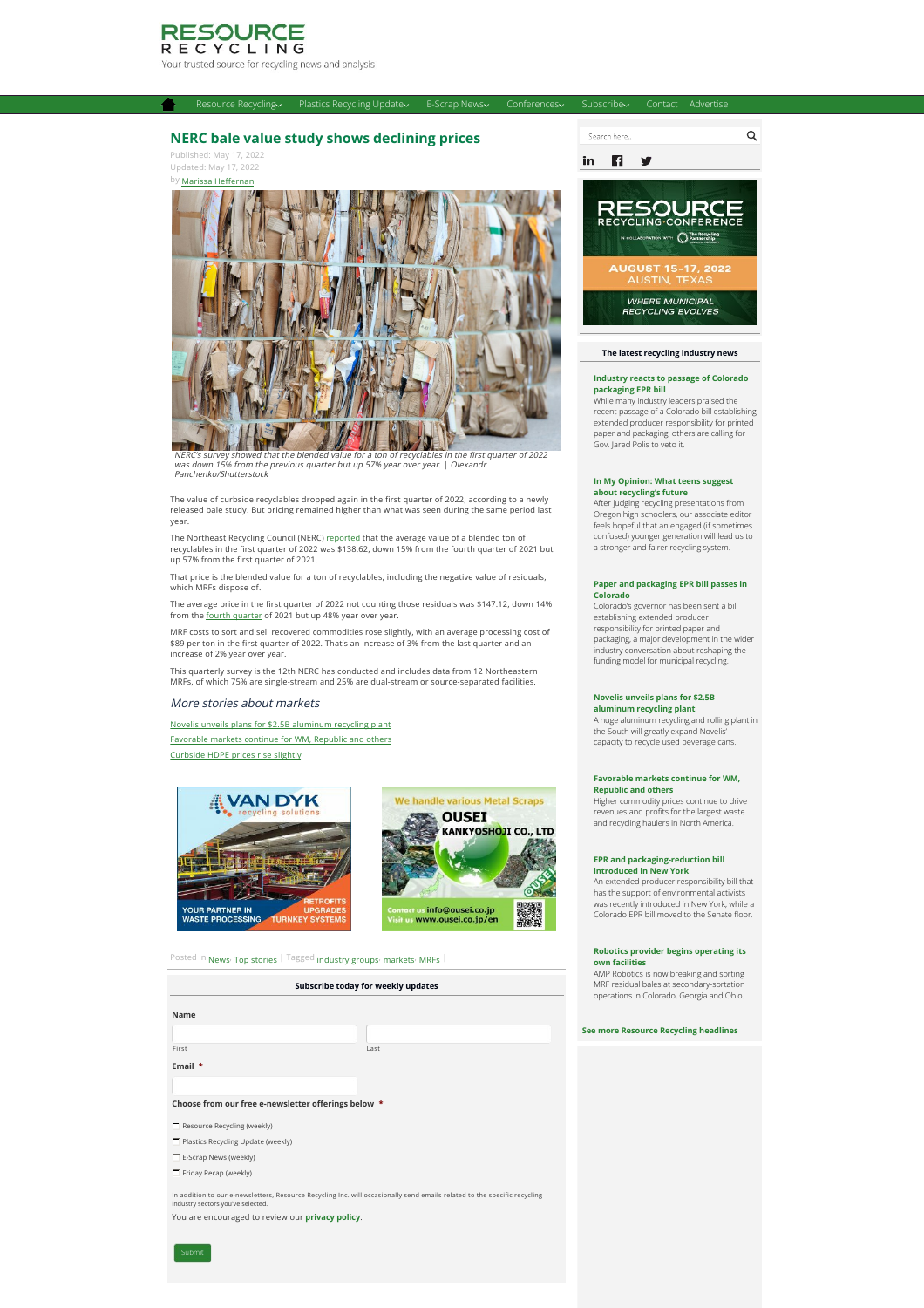

# **[NERC bale value study shows declining prices](https://resource-recycling.com/recycling/2022/05/17/nerc-bale-value-study-shows-declining-prices/)**

Published: May 17, 2022 Updated: May 17, 2022



[Resource Recycling](https://resource-recycling.com/recycling/) [Plastics Recycling Update](https://resource-recycling.com/plastics/) [E-Scrap News](https://resource-recycling.com/e-scrap/) [Conferences](https://resource-recycling.com/recycling/2022/05/17/nerc-bale-value-study-shows-declining-prices/#) [Subscribe](https://resource-recycling.com/recycling/2022/05/17/nerc-bale-value-study-shows-declining-prices/#) [Contact](https://resource-recycling.com/contact/) [Advertise](https://resource-recycling.com/advertise/)

was down 15% from the previous quarter but up 57% year over year. | Olexandr Panchenko/Shutterstock

The value of curbside recyclables dropped again in the first quarter of 2022, according to a newly released bale study. But pricing remained higher than what was seen during the same period last year.

The Northeast Recycling Council (NERC) <u>reported</u> that the average value of a blended ton of<br>recyclables in the first quarter of 2022 was \$138.62, down 15% from the fourth quarter of 2021 but up 57% from the first quarter of 2021.

That price is the blended value for a ton of recyclables, including the negative value of residuals, which MRFs dispose of.

The average price in the first quarter of 2022 not counting those residuals was \$147.12, down 14%<br>from the <u>fourth quarter</u> of 2021 but up 48% year over year.

MRF costs to sort and sell recovered commodities rose slightly, with an average processing cost of \$89 per ton in the first quarter of 2022. That's an increase of 3% from the last quarter and an increase of 2% year over year.

This quarterly survey is the 12th NERC has conducted and includes data from 12 Northeastern MRFs, of which 75% are single-stream and 25% are dual-stream or source-separated facilities.

## More stories about markets

[Novelis unveils plans for \\$2.5B aluminum recycling plant](https://resource-recycling.com/recycling/2022/05/11/novelis-unveils-plans-for-2-5b-aluminum-recycling-plant/) [Favorable markets continue for WM, Republic and others](https://resource-recycling.com/recycling/2022/05/10/favorable-markets-continue-for-wm-republic-and-others/) [Curbside HDPE prices rise slightly](https://resource-recycling.com/recycling/2022/05/10/curbside-hdpe-prices-rise-slightly/)





Posted in [News](https://resource-recycling.com/recycling/category/news/)<sup>,</sup> [Top stories](https://resource-recycling.com/recycling/category/news/top-stories/) | Tagged industry groups<sup>,</sup> [markets](https://resource-recycling.com/recycling/tag/markets/)<sup>,</sup> [MRFs](https://resource-recycling.com/recycling/tag/mrfs/)

| Subscribe today for weekly updates                  |      |
|-----------------------------------------------------|------|
| Name                                                |      |
|                                                     |      |
| First                                               | Last |
| Email $*$                                           |      |
|                                                     |      |
| Choose from our free e-newsletter offerings below * |      |
| Resource Recycling (weekly)                         |      |
| Plastics Recycling Update (weekly)                  |      |
| $\Gamma$ E-Scrap News (weekly)                      |      |
| $\Gamma$ Friday Recap (weekly)                      |      |
|                                                     |      |

In addition to our e-newsletters, Resource Recycling Inc. will occasionally send emails related to the specific recycling industry sectors you've selected. You are encouraged to review our **[privacy policy](https://resource-recycling.com/privacy)**.



# **The latest recycling industry news**

#### **[Industry reacts to passage of Colorado](https://resource-recycling.com/recycling/2022/05/17/industry-reacts-to-passage-of-colorado-packaging-epr-bill/) packaging EPR bill**

While many industry leaders praised the recent passage of a Colorado bill establishing extended producer responsibility for printed paper and packaging, others are calling for Gov. Jared Polis to veto it.

## **[In My Opinion: What teens suggest](https://resource-recycling.com/recycling/2022/05/17/in-my-opinion-what-teens-suggest-about-recyclings-future/) about recycling's future**

After judging recycling presentations from Oregon high schoolers, our associate editor feels hopeful that an engaged (if sometimes confused) younger generation will lead us to a stronger and fairer recycling system.

### **[Paper and packaging EPR bill passes in](https://resource-recycling.com/recycling/2022/05/11/paper-and-packaging-epr-bill-passes-in-colorado/) Colorado**

Colorado's governor has been sent a bill establishing extended producer responsibility for printed paper and packaging, a major development in the wider industry conversation about reshaping the funding model for municipal recycling.

## **[Novelis unveils plans for \\$2.5B](https://resource-recycling.com/recycling/2022/05/11/novelis-unveils-plans-for-2-5b-aluminum-recycling-plant/)**

**aluminum recycling plant** A huge aluminum recycling and rolling plant in the South will greatly expand Novelis' capacity to recycle used beverage cans.

#### **[Favorable markets continue for WM,](https://resource-recycling.com/recycling/2022/05/10/favorable-markets-continue-for-wm-republic-and-others/) Republic and others**

Higher commodity prices continue to drive revenues and profits for the largest waste and recycling haulers in North America.

### **[EPR and packaging-reduction bill](https://resource-recycling.com/recycling/2022/05/10/epr-and-packaging-reduction-bill-introduced-in-new-york/) introduced in New York**

An extended producer responsibility bill that has the support of environmental activists was recently introduced in New York, while a Colorado EPR bill moved to the Senate floor.

## **[Robotics provider begins operating its](https://resource-recycling.com/recycling/2022/05/10/robotics-provider-begins-operating-its-own-facilities/) own facilities**

AMP Robotics is now breaking and sorting MRF residual bales at secondary-sortation operations in Colorado, Georgia and Ohio.

#### **[See more Resource Recycling headlines](https://resource-recycling.com/recycling/category/news/)**